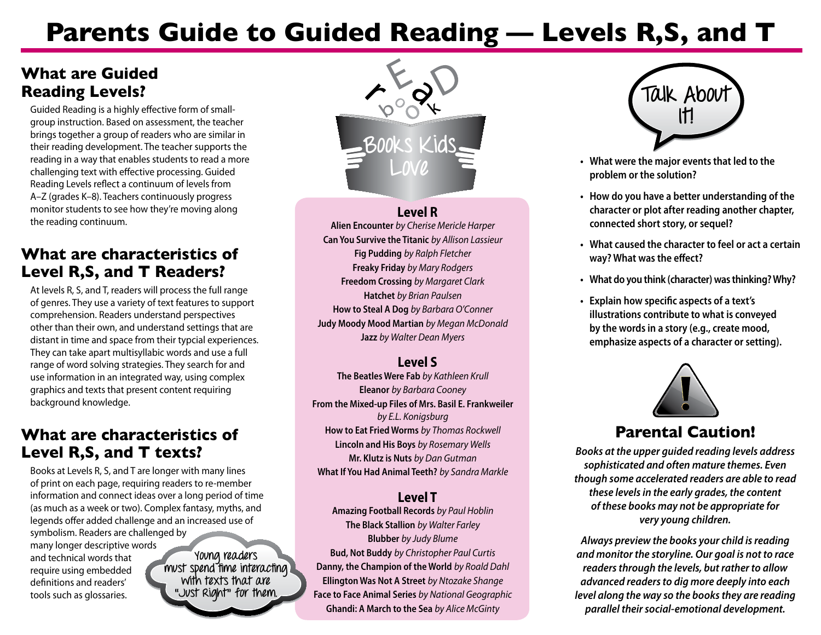# **Parents Guide to Guided Reading — Levels R,S, and T**

#### **What are Guided Reading Levels?**

Guided Reading is a highly effective form of smallgroup instruction. Based on assessment, the teacher brings together a group of readers who are similar in their reading development. The teacher supports the reading in a way that enables students to read a more challenging text with effective processing. Guided Reading Levels reflect a continuum of levels from A–Z (grades K–8). Teachers continuously progress monitor students to see how they're moving along the reading continuum.

## **What are characteristics of Level R,S, and T Readers?**

At levels R, S, and T, readers will process the full range of genres. They use a variety of text features to support comprehension. Readers understand perspectives other than their own, and understand settings that are distant in time and space from their typcial experiences. They can take apart multisyllabic words and use a full range of word solving strategies. They search for and use information in an integrated way, using complex graphics and texts that present content requiring background knowledge.

## **What are characteristics of Level R,S, and T texts?**

Books at Levels R, S, and T are longer with many lines of print on each page, requiring readers to re-member information and connect ideas over a long period of time (as much as a week or two). Complex fantasy, myths, and legends offer added challenge and an increased use of symbolism. Readers are challenged by many longer descriptive words and technical words that require using embedded definitions and readers' tools such as glossaries. **Young readers must spend time interacting with texts that are "Just Right" for them.** 



#### **Level R**

**Alien Encounter** *by Cherise Mericle Harper* **Can You Survive the Titanic** *by Allison Lassieur* **Fig Pudding** *by Ralph Fletcher*  **Freaky Friday** *by Mary Rodgers*  **Freedom Crossing** *by Margaret Clark*  **Hatchet** *by Brian Paulsen* **How to Steal A Dog** *by Barbara O'Conner* **Judy Moody Mood Martian** *by Megan McDonald* **Jazz** *by Walter Dean Myers*

#### **Level S**

**The Beatles Were Fab** *by Kathleen Krull* **Eleanor** *by Barbara Cooney*  **From the Mixed-up Files of Mrs. Basil E. Frankweiler** *by E.L. Konigsburg* **How to Eat Fried Worms** *by Thomas Rockwell* **Lincoln and His Boys** *by Rosemary Wells* **Mr. Klutz is Nuts** *by Dan Gutman* **What If You Had Animal Teeth?** *by Sandra Markle*

#### **Level T**

**Amazing Football Records** *by Paul Hoblin*  **The Black Stallion** *by Walter Farley* **Blubber** *by Judy Blume*  **Bud, Not Buddy** *by Christopher Paul Curtis* **Danny, the Champion of the World** *by Roald Dahl* **Ellington Was Not A Street** *by Ntozake Shange* **Face to Face Animal Series** *by National Geographic* **Ghandi: A March to the Sea** *by Alice McGinty*



- **Love • What were the major eventsthat led to the problem or the solution?**
- **• How do you have a better understanding of the character or plot after reading another chapter, connected short story, or sequel?**
- **• What caused the character to feel or act a certain way? What was the effect?**
- **• What do you think (character) wasthinking?Why?**
- **• Explain how specific aspects of a text's illustrations contribute to what is conveyed by the wordsin a story (e.g., create mood, emphasize** aspects of a character or setting).



## **Parental Caution!**

*Books at the upper guided reading levels address sophisticated and often mature themes. Even though some accelerated readers are able to read these levels in the early grades, the content of these books may not be appropriate for very young children.* 

*Always preview the books your child is reading and monitor the storyline. Our goal is not to race readers through the levels, but rather to allow advanced readers to dig more deeply into each level along the way so the books they are reading parallel their social-emotional development.*